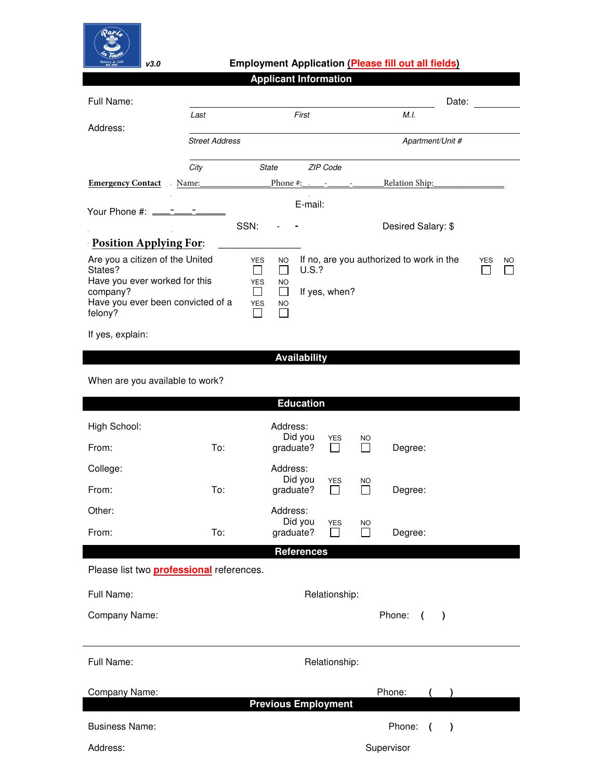

## **v***3***.***0* **Employment Application (Please fill out all fields)**

| <b>Applicant Information</b>                 |                       |                               |                      |                     |                                          |            |    |
|----------------------------------------------|-----------------------|-------------------------------|----------------------|---------------------|------------------------------------------|------------|----|
| Full Name:                                   |                       |                               |                      |                     | Date:                                    |            |    |
|                                              | Last                  |                               |                      | First               | M.L.                                     |            |    |
| Address:                                     |                       |                               |                      |                     |                                          |            |    |
|                                              | <b>Street Address</b> |                               |                      |                     | Apartment/Unit #                         |            |    |
|                                              | City                  | <b>State</b>                  |                      | ZIP Code            |                                          |            |    |
| <b>Emergency Contact</b>                     | Name:                 |                               |                      |                     | Relation Ship:                           |            |    |
|                                              |                       |                               |                      | E-mail:             |                                          |            |    |
|                                              |                       | SSN:                          |                      |                     | Desired Salary: \$                       |            |    |
| <b>Position Applying For:</b>                |                       |                               |                      |                     |                                          |            |    |
| Are you a citizen of the United<br>States?   |                       | <b>YES</b><br>$\Box$          | <b>NO</b><br>$\Box$  | <b>U.S.?</b>        | If no, are you authorized to work in the | <b>YES</b> | NO |
| Have you ever worked for this<br>company?    |                       | <b>YES</b><br>$\mathsf{L}$    | <b>NO</b><br>$\perp$ | If yes, when?       |                                          |            |    |
| Have you ever been convicted of a<br>felony? |                       | <b>YES</b><br><b>Contract</b> | <b>NO</b>            |                     |                                          |            |    |
| If yes, explain:                             |                       |                               |                      |                     |                                          |            |    |
|                                              |                       |                               |                      | <b>Availability</b> |                                          |            |    |

When are you available to work?

|                                                 |     | <b>Education</b>                 |                            |                           |                      |           |
|-------------------------------------------------|-----|----------------------------------|----------------------------|---------------------------|----------------------|-----------|
| High School:<br>From:                           | To: | Address:<br>Did you<br>graduate? | <b>YES</b><br>$\mathsf{L}$ | <b>NO</b><br>П            | Degree:              |           |
| College:                                        |     | Address:                         |                            |                           |                      |           |
| From:                                           | To: | Did you<br>graduate?             | <b>YES</b><br>$\mathsf{L}$ | <b>NO</b><br>$\Box$       | Degree:              |           |
| Other:                                          |     | Address:                         |                            |                           |                      |           |
| From:                                           | To: | Did you<br>graduate?             | <b>YES</b><br>$\Box$       | <b>NO</b><br>$\mathsf{L}$ | Degree:              |           |
|                                                 |     | <b>References</b>                |                            |                           |                      |           |
| Please list two <b>professional</b> references. |     |                                  |                            |                           |                      |           |
| Full Name:                                      |     |                                  | Relationship:              |                           |                      |           |
| Company Name:                                   |     |                                  |                            |                           | Phone:<br>$\sqrt{ }$ | $\lambda$ |
|                                                 |     |                                  |                            |                           |                      |           |
| Full Name:                                      |     |                                  | Relationship:              |                           |                      |           |
| Company Name:                                   |     |                                  |                            |                           | Phone:               |           |
| <b>Previous Employment</b>                      |     |                                  |                            |                           |                      |           |
| <b>Business Name:</b>                           |     |                                  |                            |                           | Phone:<br>(          | $\lambda$ |
| Address:                                        |     |                                  |                            |                           | Supervisor           |           |